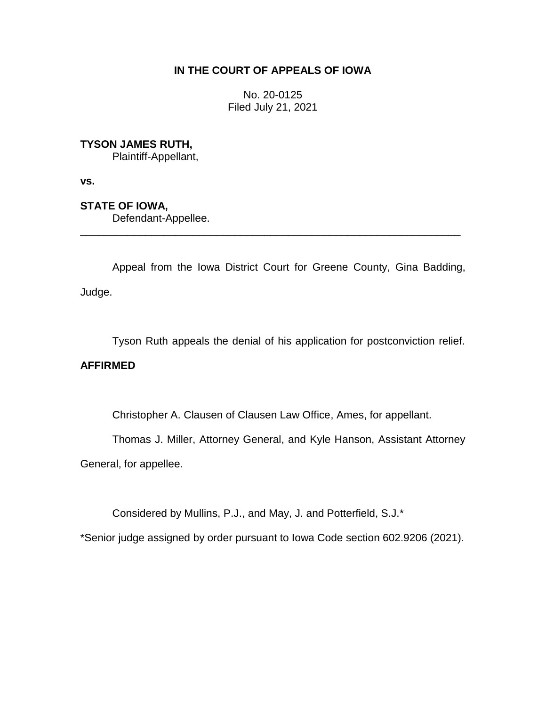## **IN THE COURT OF APPEALS OF IOWA**

No. 20-0125 Filed July 21, 2021

**TYSON JAMES RUTH,**

Plaintiff-Appellant,

**vs.**

**STATE OF IOWA,**

Defendant-Appellee.

Appeal from the Iowa District Court for Greene County, Gina Badding, Judge.

\_\_\_\_\_\_\_\_\_\_\_\_\_\_\_\_\_\_\_\_\_\_\_\_\_\_\_\_\_\_\_\_\_\_\_\_\_\_\_\_\_\_\_\_\_\_\_\_\_\_\_\_\_\_\_\_\_\_\_\_\_\_\_\_

Tyson Ruth appeals the denial of his application for postconviction relief.

## **AFFIRMED**

Christopher A. Clausen of Clausen Law Office, Ames, for appellant.

Thomas J. Miller, Attorney General, and Kyle Hanson, Assistant Attorney

General, for appellee.

Considered by Mullins, P.J., and May, J. and Potterfield, S.J.\*

\*Senior judge assigned by order pursuant to Iowa Code section 602.9206 (2021).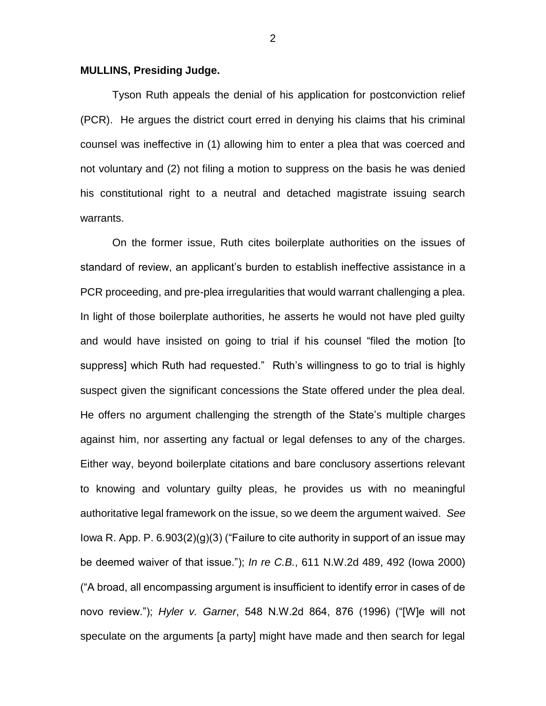## **MULLINS, Presiding Judge.**

Tyson Ruth appeals the denial of his application for postconviction relief (PCR). He argues the district court erred in denying his claims that his criminal counsel was ineffective in (1) allowing him to enter a plea that was coerced and not voluntary and (2) not filing a motion to suppress on the basis he was denied his constitutional right to a neutral and detached magistrate issuing search warrants.

On the former issue, Ruth cites boilerplate authorities on the issues of standard of review, an applicant's burden to establish ineffective assistance in a PCR proceeding, and pre-plea irregularities that would warrant challenging a plea. In light of those boilerplate authorities, he asserts he would not have pled guilty and would have insisted on going to trial if his counsel "filed the motion [to suppress] which Ruth had requested." Ruth's willingness to go to trial is highly suspect given the significant concessions the State offered under the plea deal. He offers no argument challenging the strength of the State's multiple charges against him, nor asserting any factual or legal defenses to any of the charges. Either way, beyond boilerplate citations and bare conclusory assertions relevant to knowing and voluntary guilty pleas, he provides us with no meaningful authoritative legal framework on the issue, so we deem the argument waived. *See*  Iowa R. App. P. 6.903(2)(g)(3) ("Failure to cite authority in support of an issue may be deemed waiver of that issue."); *In re C.B.*, 611 N.W.2d 489, 492 (Iowa 2000) ("A broad, all encompassing argument is insufficient to identify error in cases of de novo review."); *Hyler v. Garner*, 548 N.W.2d 864, 876 (1996) ("[W]e will not speculate on the arguments [a party] might have made and then search for legal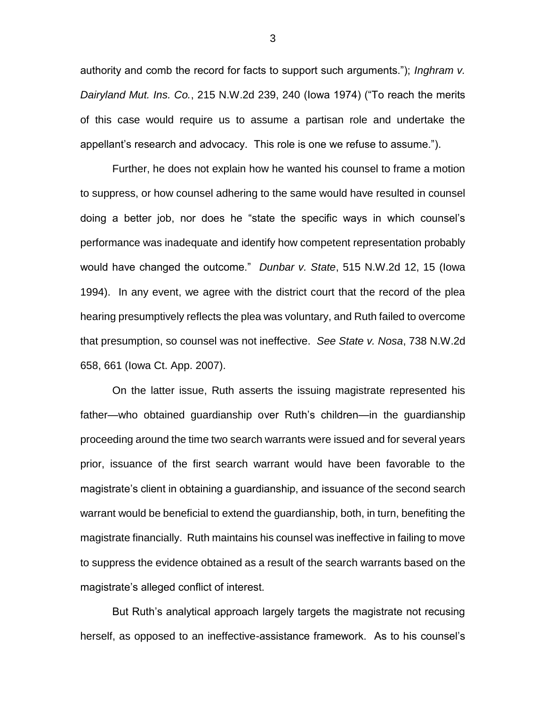authority and comb the record for facts to support such arguments."); *Inghram v. Dairyland Mut. Ins. Co.*, 215 N.W.2d 239, 240 (Iowa 1974) ("To reach the merits of this case would require us to assume a partisan role and undertake the appellant's research and advocacy. This role is one we refuse to assume.").

Further, he does not explain how he wanted his counsel to frame a motion to suppress, or how counsel adhering to the same would have resulted in counsel doing a better job, nor does he "state the specific ways in which counsel's performance was inadequate and identify how competent representation probably would have changed the outcome." *Dunbar v. State*, 515 N.W.2d 12, 15 (Iowa 1994). In any event, we agree with the district court that the record of the plea hearing presumptively reflects the plea was voluntary, and Ruth failed to overcome that presumption, so counsel was not ineffective. *See State v. Nosa*, 738 N.W.2d 658, 661 (Iowa Ct. App. 2007).

On the latter issue, Ruth asserts the issuing magistrate represented his father—who obtained guardianship over Ruth's children—in the guardianship proceeding around the time two search warrants were issued and for several years prior, issuance of the first search warrant would have been favorable to the magistrate's client in obtaining a guardianship, and issuance of the second search warrant would be beneficial to extend the guardianship, both, in turn, benefiting the magistrate financially. Ruth maintains his counsel was ineffective in failing to move to suppress the evidence obtained as a result of the search warrants based on the magistrate's alleged conflict of interest.

But Ruth's analytical approach largely targets the magistrate not recusing herself, as opposed to an ineffective-assistance framework. As to his counsel's

3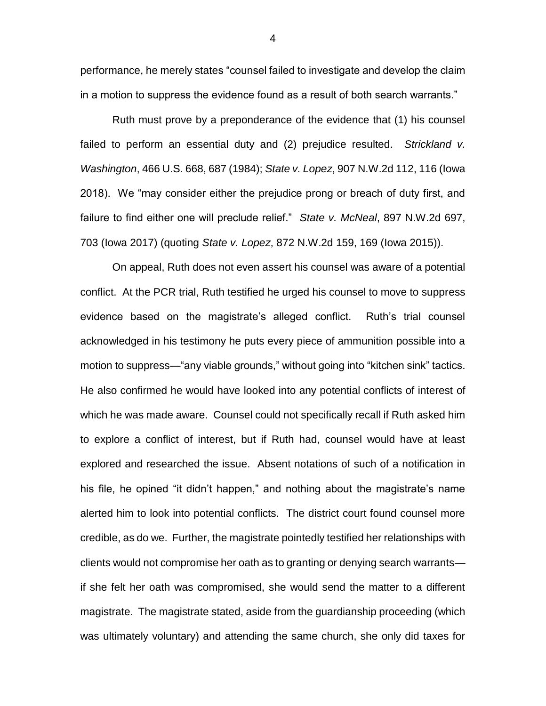performance, he merely states "counsel failed to investigate and develop the claim in a motion to suppress the evidence found as a result of both search warrants."

Ruth must prove by a preponderance of the evidence that (1) his counsel failed to perform an essential duty and (2) prejudice resulted. *Strickland v. Washington*, 466 U.S. 668, 687 (1984); *State v. Lopez*, 907 N.W.2d 112, 116 (Iowa 2018). We "may consider either the prejudice prong or breach of duty first, and failure to find either one will preclude relief." *State v. McNeal*, 897 N.W.2d 697, 703 (Iowa 2017) (quoting *State v. Lopez*, 872 N.W.2d 159, 169 (Iowa 2015)).

On appeal, Ruth does not even assert his counsel was aware of a potential conflict. At the PCR trial, Ruth testified he urged his counsel to move to suppress evidence based on the magistrate's alleged conflict. Ruth's trial counsel acknowledged in his testimony he puts every piece of ammunition possible into a motion to suppress—"any viable grounds," without going into "kitchen sink" tactics. He also confirmed he would have looked into any potential conflicts of interest of which he was made aware. Counsel could not specifically recall if Ruth asked him to explore a conflict of interest, but if Ruth had, counsel would have at least explored and researched the issue. Absent notations of such of a notification in his file, he opined "it didn't happen," and nothing about the magistrate's name alerted him to look into potential conflicts. The district court found counsel more credible, as do we. Further, the magistrate pointedly testified her relationships with clients would not compromise her oath as to granting or denying search warrants if she felt her oath was compromised, she would send the matter to a different magistrate. The magistrate stated, aside from the guardianship proceeding (which was ultimately voluntary) and attending the same church, she only did taxes for

4